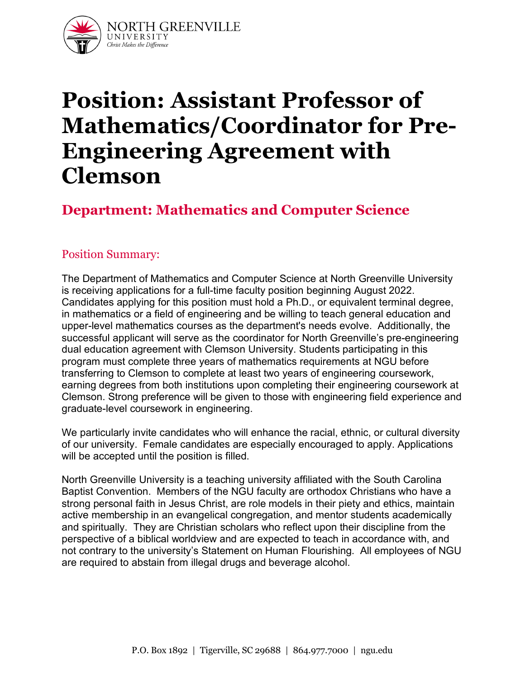

# **Position: Assistant Professor of Mathematics/Coordinator for Pre-Engineering Agreement with Clemson**

# **Department: Mathematics and Computer Science**

#### Position Summary:

The Department of Mathematics and Computer Science at North Greenville University is receiving applications for a full-time faculty position beginning August 2022. Candidates applying for this position must hold a Ph.D., or equivalent terminal degree, in mathematics or a field of engineering and be willing to teach general education and upper-level mathematics courses as the department's needs evolve. Additionally, the successful applicant will serve as the coordinator for North Greenville's pre-engineering dual education agreement with Clemson University. Students participating in this program must complete three years of mathematics requirements at NGU before transferring to Clemson to complete at least two years of engineering coursework, earning degrees from both institutions upon completing their engineering coursework at Clemson. Strong preference will be given to those with engineering field experience and graduate-level coursework in engineering.

We particularly invite candidates who will enhance the racial, ethnic, or cultural diversity of our university. Female candidates are especially encouraged to apply. Applications will be accepted until the position is filled.

North Greenville University is a teaching university affiliated with the South Carolina Baptist Convention. Members of the NGU faculty are orthodox Christians who have a strong personal faith in Jesus Christ, are role models in their piety and ethics, maintain active membership in an evangelical congregation, and mentor students academically and spiritually. They are Christian scholars who reflect upon their discipline from the perspective of a biblical worldview and are expected to teach in accordance with, and not contrary to the university's Statement on Human Flourishing. All employees of NGU are required to abstain from illegal drugs and beverage alcohol.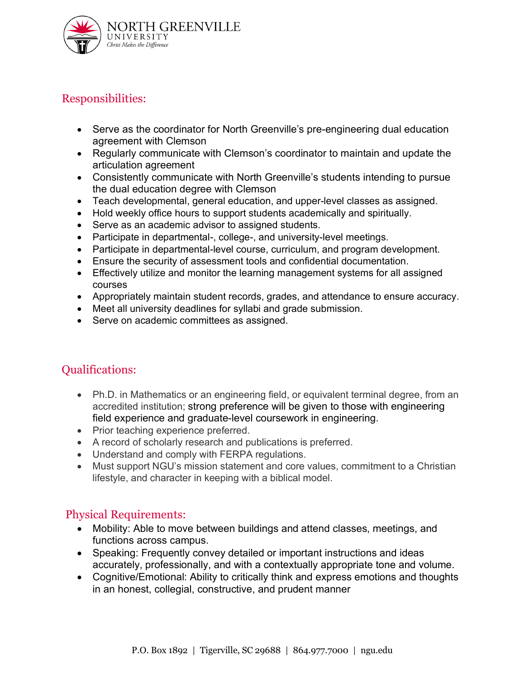

## Responsibilities:

- Serve as the coordinator for North Greenville's pre-engineering dual education agreement with Clemson
- Regularly communicate with Clemson's coordinator to maintain and update the articulation agreement
- Consistently communicate with North Greenville's students intending to pursue the dual education degree with Clemson
- Teach developmental, general education, and upper-level classes as assigned.
- Hold weekly office hours to support students academically and spiritually.
- Serve as an academic advisor to assigned students.
- Participate in departmental-, college-, and university-level meetings.
- Participate in departmental-level course, curriculum, and program development.
- Ensure the security of assessment tools and confidential documentation.
- Effectively utilize and monitor the learning management systems for all assigned courses
- Appropriately maintain student records, grades, and attendance to ensure accuracy.
- Meet all university deadlines for syllabi and grade submission.
- Serve on academic committees as assigned.

# Qualifications:

- Ph.D. in Mathematics or an engineering field, or equivalent terminal degree, from an accredited institution; strong preference will be given to those with engineering field experience and graduate-level coursework in engineering.
- Prior teaching experience preferred.
- A record of scholarly research and publications is preferred.
- Understand and comply with FERPA regulations.
- Must support NGU's mission statement and core values, commitment to a Christian lifestyle, and character in keeping with a biblical model.

#### Physical Requirements:

- Mobility: Able to move between buildings and attend classes, meetings, and functions across campus.
- Speaking: Frequently convey detailed or important instructions and ideas accurately, professionally, and with a contextually appropriate tone and volume.
- Cognitive/Emotional: Ability to critically think and express emotions and thoughts in an honest, collegial, constructive, and prudent manner